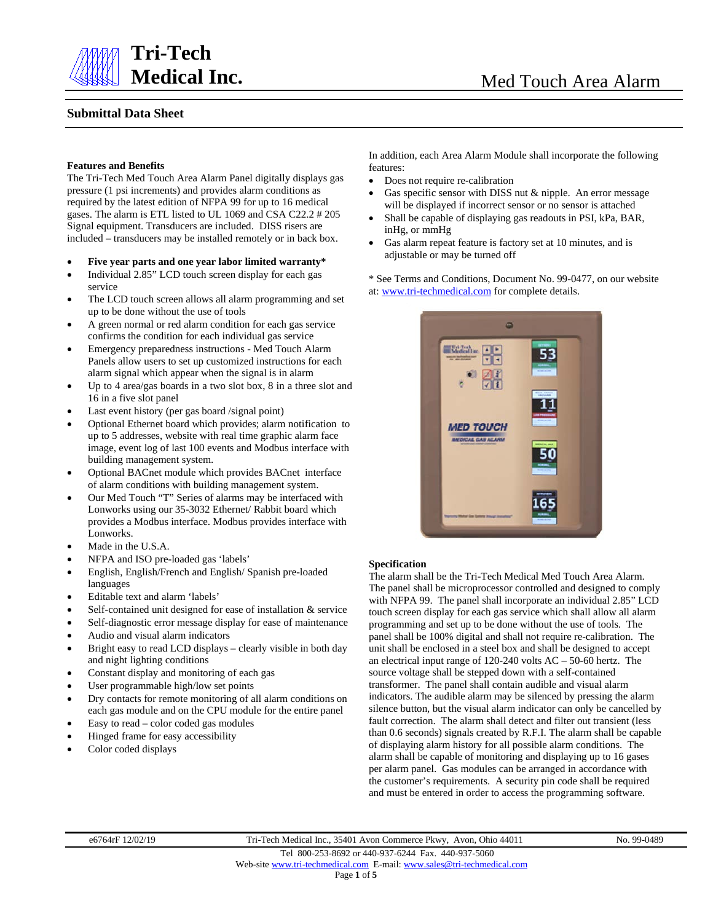

# **Tri-Tech**

## **Submittal Data Sheet**

### **Features and Benefits**

The Tri-Tech Med Touch Area Alarm Panel digitally displays gas pressure (1 psi increments) and provides alarm conditions as required by the latest edition of NFPA 99 for up to 16 medical gases. The alarm is ETL listed to UL 1069 and CSA C22.2 # 205 Signal equipment. Transducers are included. DISS risers are included – transducers may be installed remotely or in back box.

- **Five year parts and one year labor limited warranty\***
- Individual 2.85" LCD touch screen display for each gas service
- The LCD touch screen allows all alarm programming and set up to be done without the use of tools
- A green normal or red alarm condition for each gas service confirms the condition for each individual gas service
- Emergency preparedness instructions Med Touch Alarm Panels allow users to set up customized instructions for each alarm signal which appear when the signal is in alarm
- Up to 4 area/gas boards in a two slot box, 8 in a three slot and 16 in a five slot panel
- Last event history (per gas board /signal point)
- Optional Ethernet board which provides; alarm notification to up to 5 addresses, website with real time graphic alarm face image, event log of last 100 events and Modbus interface with building management system.
- Optional BACnet module which provides BACnet interface of alarm conditions with building management system.
- Our Med Touch "T" Series of alarms may be interfaced with Lonworks using our 35-3032 Ethernet/ Rabbit board which provides a Modbus interface. Modbus provides interface with Lonworks.
- Made in the U.S.A.
- NFPA and ISO pre-loaded gas 'labels'
- English, English/French and English/ Spanish pre-loaded languages
- Editable text and alarm 'labels'
- Self-contained unit designed for ease of installation & service
- Self-diagnostic error message display for ease of maintenance
- Audio and visual alarm indicators
- Bright easy to read LCD displays clearly visible in both day and night lighting conditions
- Constant display and monitoring of each gas
- User programmable high/low set points
- Dry contacts for remote monitoring of all alarm conditions on each gas module and on the CPU module for the entire panel
- Easy to read color coded gas modules
- Hinged frame for easy accessibility
- Color coded displays

In addition, each Area Alarm Module shall incorporate the following features:

- Does not require re-calibration
- Gas specific sensor with DISS nut & nipple. An error message will be displayed if incorrect sensor or no sensor is attached
- Shall be capable of displaying gas readouts in PSI, kPa, BAR, inHg, or mmHg
- Gas alarm repeat feature is factory set at 10 minutes, and is adjustable or may be turned off

\* See Terms and Conditions, Document No. 99-0477, on our website at: [www.tri-techmedical.com](http://www.tri-techmedical.com/) for complete details.



### **Specification**

The alarm shall be the Tri-Tech Medical Med Touch Area Alarm. The panel shall be microprocessor controlled and designed to comply with NFPA 99. The panel shall incorporate an individual 2.85" LCD touch screen display for each gas service which shall allow all alarm programming and set up to be done without the use of tools. The panel shall be 100% digital and shall not require re-calibration. The unit shall be enclosed in a steel box and shall be designed to accept an electrical input range of 120-240 volts AC – 50-60 hertz. The source voltage shall be stepped down with a self-contained transformer. The panel shall contain audible and visual alarm indicators. The audible alarm may be silenced by pressing the alarm silence button, but the visual alarm indicator can only be cancelled by fault correction. The alarm shall detect and filter out transient (less than 0.6 seconds) signals created by R.F.I. The alarm shall be capable of displaying alarm history for all possible alarm conditions. The alarm shall be capable of monitoring and displaying up to 16 gases per alarm panel. Gas modules can be arranged in accordance with the customer's requirements. A security pin code shall be required and must be entered in order to access the programming software.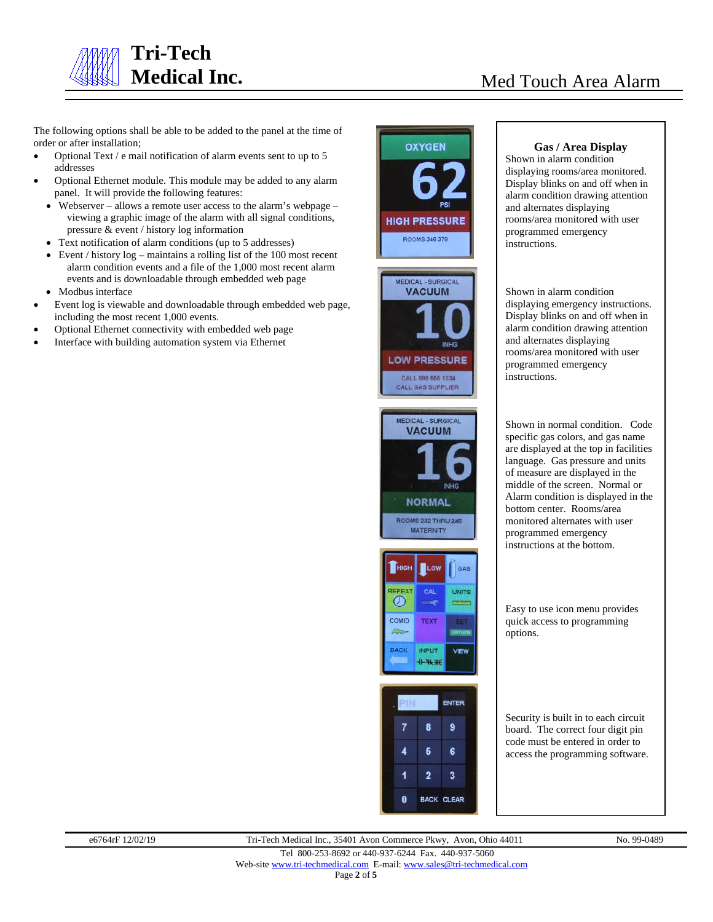

The following options shall be able to be added to the panel at the time of order or after installation;

- Optional Text / e mail notification of alarm events sent to up to 5 addresses
- Optional Ethernet module. This module may be added to any alarm panel. It will provide the following features:
	- Webserver allows a remote user access to the alarm's webpage viewing a graphic image of the alarm with all signal conditions, pressure & event / history log information
	- Text notification of alarm conditions (up to 5 addresses)
	- Event / history  $log -$  maintains a rolling list of the 100 most recent alarm condition events and a file of the 1,000 most recent alarm events and is downloadable through embedded web page
- Modbus interface
- Event log is viewable and downloadable through embedded web page, including the most recent 1,000 events.
- Optional Ethernet connectivity with embedded web page
- Interface with building automation system via Ethernet



# **VACUUM NORMAL ROOMS 232 THRU 246 MATERNITY**





### **Gas / Area Display**

Shown in alarm condition displaying rooms/area monitored. Display blinks on and off when in alarm condition drawing attention and alternates displaying rooms/area monitored with user programmed emergency instructions.

Shown in alarm condition displaying emergency instructions. Display blinks on and off when in alarm condition drawing attention and alternates displaying rooms/area monitored with user programmed emergency instructions.

Shown in normal condition. Code specific gas colors, and gas name are displayed at the top in facilities language. Gas pressure and units of measure are displayed in the middle of the screen. Normal or Alarm condition is displayed in the bottom center. Rooms/area monitored alternates with user programmed emergency instructions at the bottom.

Easy to use icon menu provides quick access to programming options.

Security is built in to each circuit board. The correct four digit pin code must be entered in order to access the programming software.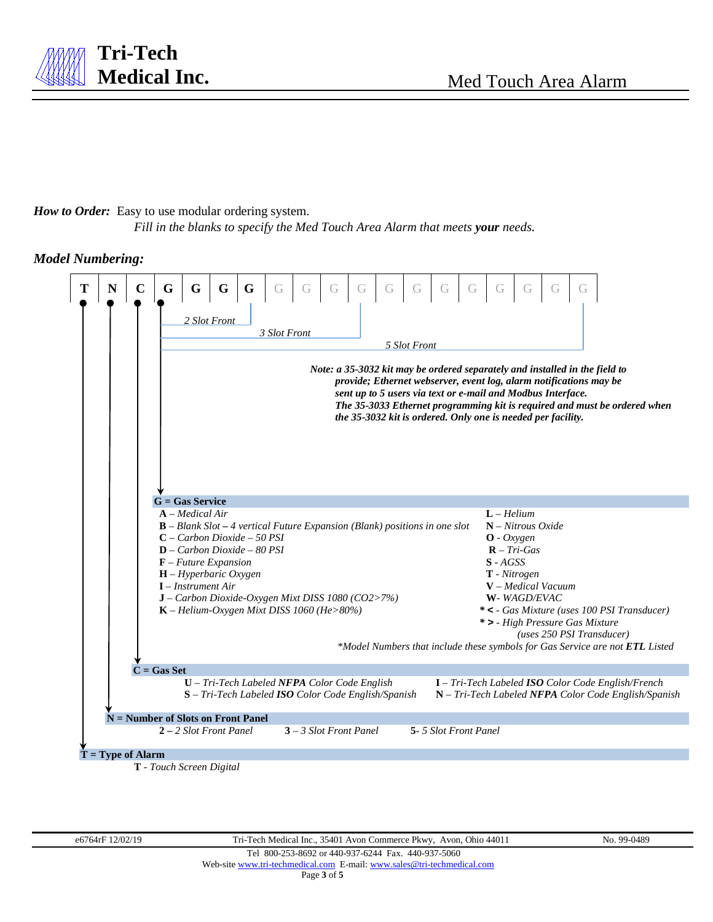# *How to Order:* Easy to use modular ordering system.

**Tri-Tech**

*Fill in the blanks to specify the Med Touch Area Alarm that meets your needs.*

## *Model Numbering:*



Page **3** of **5**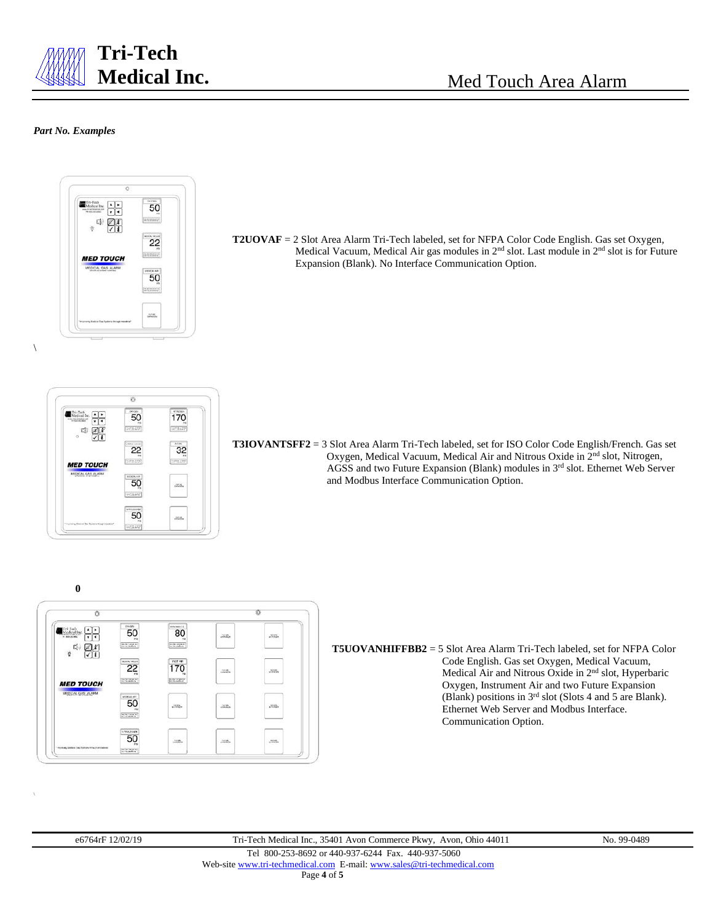

### *Part No. Examples*





**T5UOVANHIFFBB2** = 5 Slot Area Alarm Tri-Tech labeled, set for NFPA Color Code English. Gas set Oxygen, Medical Vacuum, Medical Air and Nitrous Oxide in 2nd slot, Hyperbaric Oxygen, Instrument Air and two Future Expansion (Blank) positions in 3rd slot (Slots 4 and 5 are Blank). Ethernet Web Server and Modbus Interface. Communication Option.